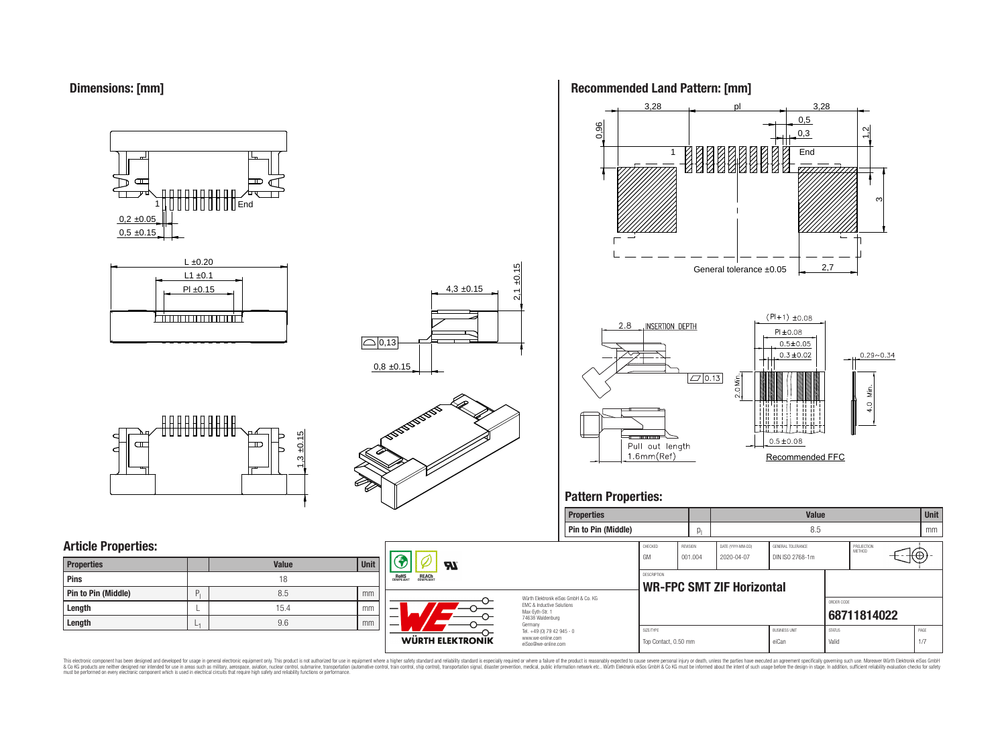



# **Article Properties:**

| <b>Properties</b>   |   | <b>Value</b> | <b>Unit</b> |
|---------------------|---|--------------|-------------|
| Pins                |   | 18           |             |
| Pin to Pin (Middle) | D | 8.5          | mm          |
| Length              |   | 15.4         | mm          |
| Length              | ÷ | 9.6          | mm          |



עפ

**WÜRTH ELEKTRONIK** 

**RoHS** 

REACH

4,3 ±0.15

 $2,1 \pm 0.15$ 

**Recommended Land Pattern: [mm]**



# **Pattern Properties:**



This electronic component has been designed and developed for usage in general electronic equipment only. This product is not authorized for subserved requipment where a higher selection equipment where a higher selection

Germany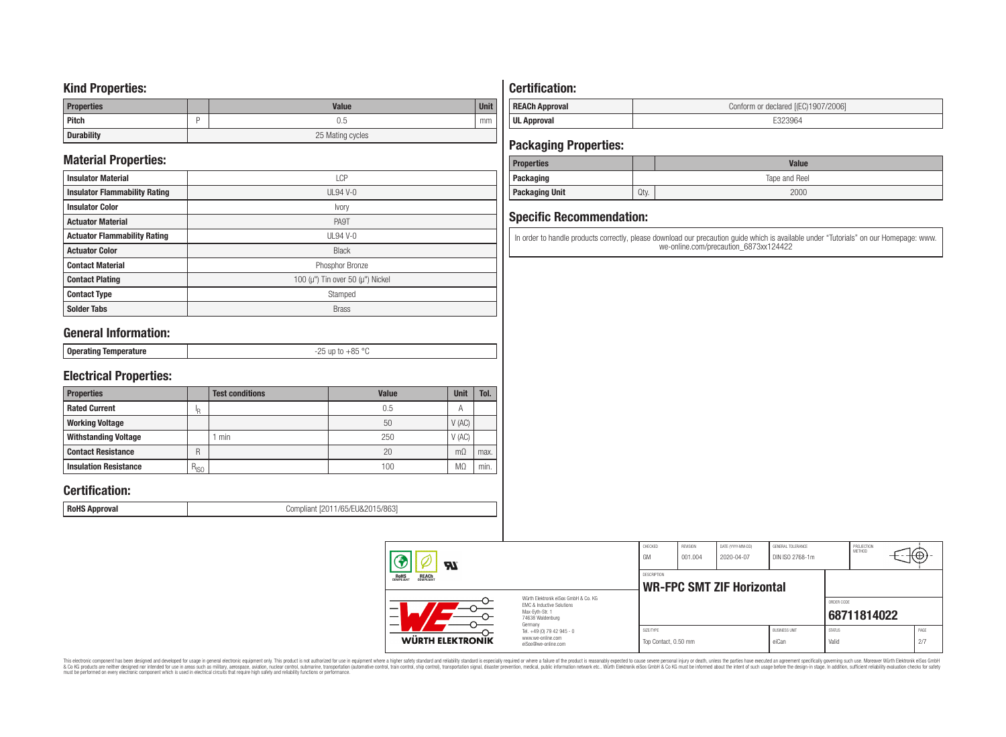# **Kind Properties:**

| <b>Properties</b> | <b>Value</b>     | <b>Unit</b> |  |  |  |
|-------------------|------------------|-------------|--|--|--|
| <b>Pitch</b>      | 0.5              | mm          |  |  |  |
| <b>Durability</b> | 25 Mating cycles |             |  |  |  |

# **Material Properties:**

| <b>Insulator Material</b>            | LCP                                          |
|--------------------------------------|----------------------------------------------|
| <b>Insulator Flammability Rating</b> | $UL94V-0$                                    |
| <b>Insulator Color</b>               | Ivory                                        |
| <b>Actuator Material</b>             | PA9T                                         |
| <b>Actuator Flammability Rating</b>  | UL94 V-0                                     |
| <b>Actuator Color</b>                | <b>Black</b>                                 |
| <b>Contact Material</b>              | Phosphor Bronze                              |
| <b>Contact Plating</b>               | 100 ( $\mu$ ") Tin over 50 ( $\mu$ ") Nickel |
| <b>Contact Type</b>                  | Stamped                                      |
| <b>Solder Tabs</b>                   | <b>Brass</b>                                 |

# **General Information:**

| $\circ$<br>⊥ Onera′<br><b>U</b> L<br>.<br>.<br> |                 |            |
|-------------------------------------------------|-----------------|------------|
|                                                 | $-$ - $-$ - $-$ | $  -$<br>. |

# **Electrical Properties:**

| <b>Properties</b>            |           | <b>Test conditions</b> | Value | Unit           | Tol. |
|------------------------------|-----------|------------------------|-------|----------------|------|
| <b>Rated Current</b>         | םו        |                        | 0.5   | A              |      |
| <b>Working Voltage</b>       |           |                        | 50    | V(AC)          |      |
| <b>Withstanding Voltage</b>  |           | min                    | 250   | V(AC)          |      |
| <b>Contact Resistance</b>    | R         |                        | 20    | $m\Omega$      | max. |
| <b>Insulation Resistance</b> | $R_{ISO}$ |                        | 100   | M <sub>2</sub> | min. |

# **Certification:**

**RoHS Approval RoHS Approval Compliant** [2011/65/EU&2015/863]

# **Certification:**

| <b>REACh Approval</b> | Conform or declared [(EC)1907/2006] |
|-----------------------|-------------------------------------|
| <b>UL Approval</b>    |                                     |

# **Packaging Properties:**

| <b>Properties</b>     |      | <b>Value</b>  |
|-----------------------|------|---------------|
| Packaging             |      | Tape and Reel |
| <b>Packaging Unit</b> | Qty. | 2000          |

# **Specific Recommendation:**

In order to handle products correctly, please download our precaution guide which is available under "Tutorials" on our Homepage: www. we-online.com/precaution\_6873xx124422

| WÜRTH ELEKTRONIK                                      | Tel. +49 (0) 79 42 945 - 0<br>www.we-online.com<br>eiSos@we-online.com                                              | SIZE/TYPE<br>Top Contact, 0.50 mm |                            |                                  | eiCan                                | <b>STATUS</b><br>Valid |                      | 2/7  |  |
|-------------------------------------------------------|---------------------------------------------------------------------------------------------------------------------|-----------------------------------|----------------------------|----------------------------------|--------------------------------------|------------------------|----------------------|------|--|
|                                                       | Würth Flektronik eiSos GmbH & Co. KG<br>EMC & Inductive Solutions<br>Max-Evth-Str. 1<br>74638 Waldenburg<br>Germany |                                   |                            |                                  | <b>BLISINESS LINIT</b>               | ORDER CODE             | 68711814022          | PAGE |  |
| <b>REACH</b><br>COMPLIANT<br><b>ROHS</b><br>COMPLIANT |                                                                                                                     | <b>DESCRIPTION</b>                |                            | <b>WR-FPC SMT ZIF Horizontal</b> |                                      |                        |                      |      |  |
| <b>R</b>                                              |                                                                                                                     | CHECKED<br>GM                     | <b>REVISION</b><br>001.004 | DATE (YYYY-MM-DD)<br>2020-04-07  | GENERAL TOLERANCE<br>DIN ISO 2768-1m |                        | PROJECTION<br>METHOD | €θ   |  |

This electronic component has been designed and developed for usage in general electronic equipment only. This product is not authorized for subserved requipment where a higher selection equipment where a higher selection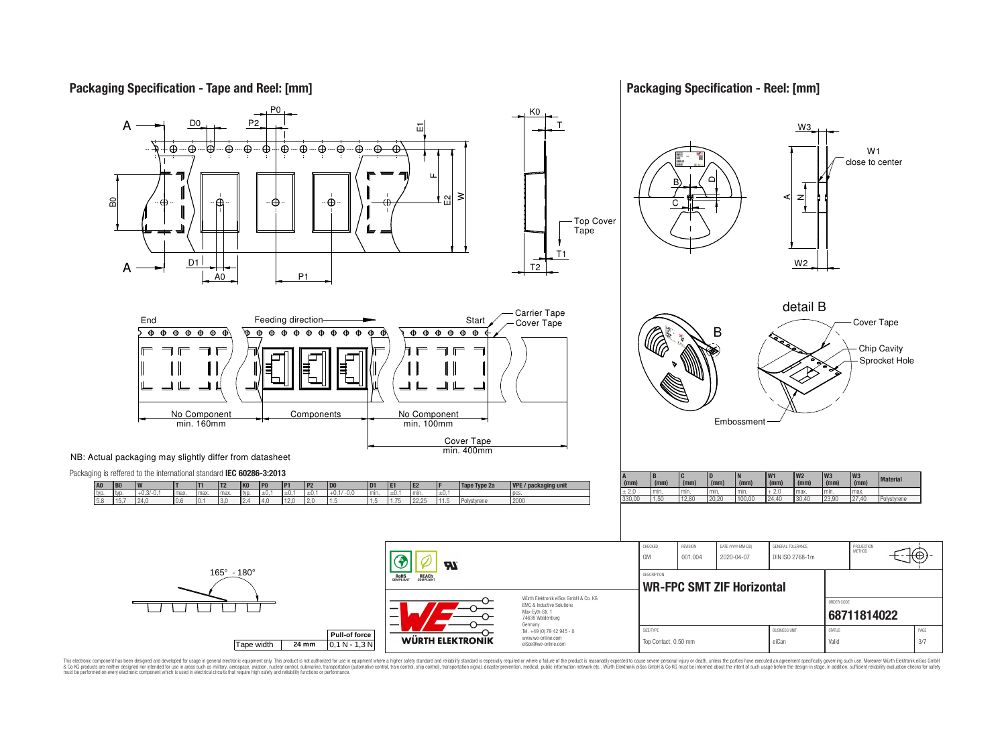

**Packaging Specification - Reel: [mm]**



This electronic component has been designed and developed for usage in general electronic equipment only. This product is not authorized for use in equipment where a higher safely standard and reliability standard si espec & Ook product a label and the membed of the seasuch as marked and as which such a membed and the such assume that income in the seasuch and the simulation and the such assume that include to the such a membed and the such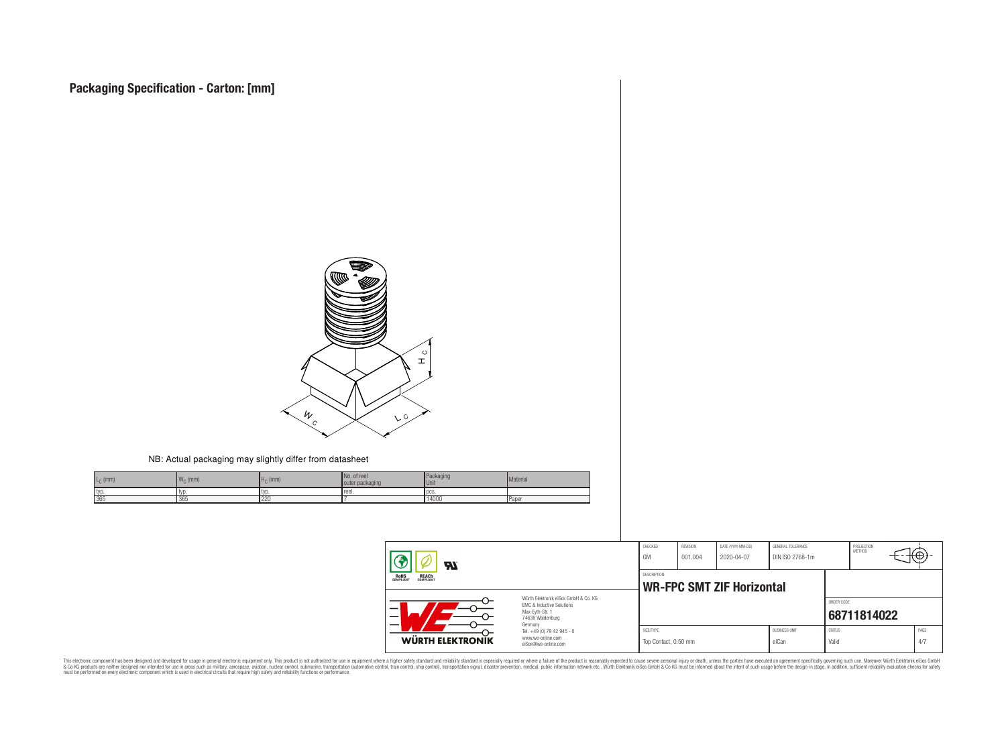

#### NB: Actual packaging may slightly differ from datasheet

| $\epsilon_0$ (mm) | ANF<br>$W_{\cap}$ (mm) | $HC$ (mm) | No. of reel<br>outer packaging | Packaging<br>Unit | Material |
|-------------------|------------------------|-----------|--------------------------------|-------------------|----------|
| typ               | l tvr                  | l tyr     | reel.                          | locs              |          |
| 365               | 365                    | 220       |                                | 14000             | Paper    |

| 77.                                                   |                                                                                                                     | CHECKED<br>GM                     | REVISION<br>001.004 | DATE (YYYY-MM-DD)<br>2020-04-07  | GENERAL TOLERANCE<br>DIN ISO 2768-1m |                        | PROJECTION<br>METHOD | τΦ |             |
|-------------------------------------------------------|---------------------------------------------------------------------------------------------------------------------|-----------------------------------|---------------------|----------------------------------|--------------------------------------|------------------------|----------------------|----|-------------|
| <b>ROHS</b><br>COMPLIANT<br><b>REACH</b><br>COMPLIANT |                                                                                                                     | <b>DESCRIPTION</b>                |                     | <b>WR-FPC SMT ZIF Horizontal</b> |                                      |                        |                      |    |             |
| -<br>$\overline{\phantom{0}}$                         | Würth Flektronik eiSos GmbH & Co. KG<br>EMC & Inductive Solutions<br>Max-Eyth-Str. 1<br>74638 Waldenburg<br>Germany |                                   |                     |                                  |                                      | ORDER CODE             | 68711814022          |    |             |
| WÜRTH ELEKTRONIK                                      | Tel. +49 (0) 79 42 945 - 0<br>www.we-online.com<br>eiSos@we-online.com                                              | SIZE/TYPE<br>Top Contact, 0.50 mm |                     |                                  | <b>BUSINESS UNIT</b><br>eiCan        | <b>STATUS</b><br>Valid |                      |    | PAGE<br>4/7 |

This electronic component has been designed and developed for usage in general electronic equipment only. This product is not authorized for subserved requipment where a higher selection equipment where a higher selection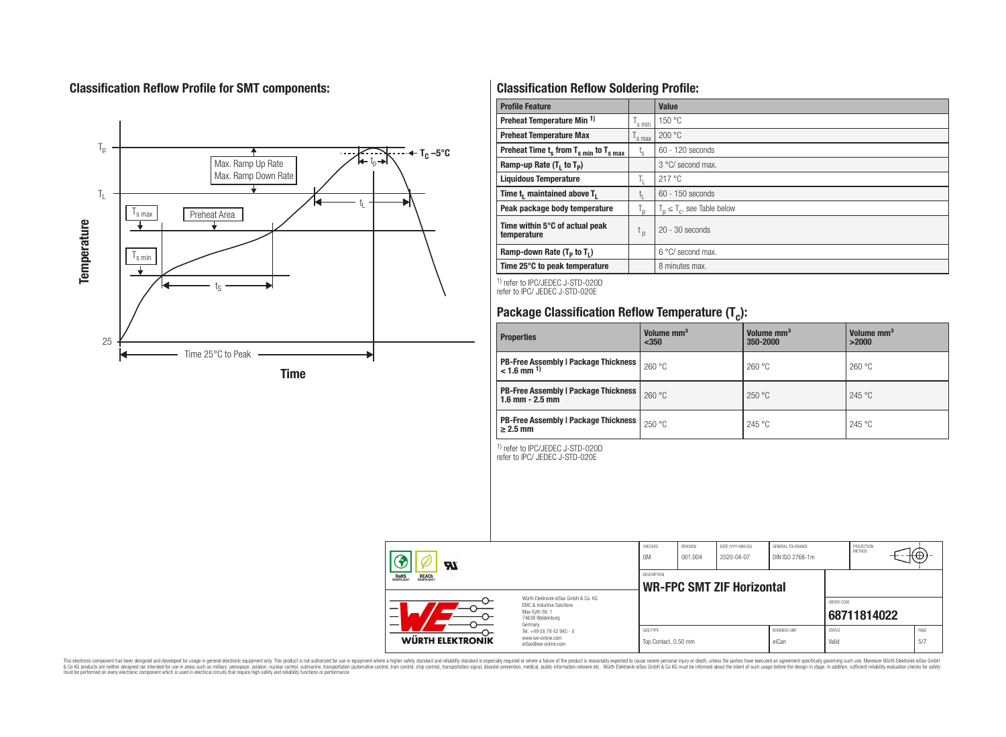# **Classification Reflow Profile for SMT components:**



# **Classification Reflow Soldering Profile:**

| <b>Profile Feature</b>                              |                    | Value                            |
|-----------------------------------------------------|--------------------|----------------------------------|
| Preheat Temperature Min <sup>1)</sup>               | <sup>I</sup> s min | 150 °C                           |
| <b>Preheat Temperature Max</b>                      | 's max             | 200 °C                           |
| Preheat Time $t_s$ from $T_{s,min}$ to $T_{s,max}$  | $t_{\rm s}$        | $60 - 120$ seconds               |
| Ramp-up Rate $(T_1$ to $T_p$ )                      |                    | 3 °C/ second max.                |
| <b>Liquidous Temperature</b>                        | Ь.                 | 217°C                            |
| Time t <sub>1</sub> maintained above T <sub>1</sub> | ь.                 | $60 - 150$ seconds               |
| Peak package body temperature                       | l n                | $T_n \leq T_c$ , see Table below |
| Time within 5°C of actual peak<br>temperature       | t <sub>p</sub>     | $20 - 30$ seconds                |
| Ramp-down Rate $(T_p$ to $T_1$ )                    |                    | $6^{\circ}$ C/ second max.       |
| Time 25°C to peak temperature                       |                    | 8 minutes max.                   |

1) refer to IPC/JEDEC J-STD-020D refer to IPC/ JEDEC J-STD-020E

# **Package Classification Reflow Temperature (T<sup>c</sup> ):**

| <b>Properties</b>                                                       | Volume mm <sup>3</sup><br>< 350 | Volume mm <sup>3</sup><br>350-2000 | Volume mm <sup>3</sup><br>>2000 |
|-------------------------------------------------------------------------|---------------------------------|------------------------------------|---------------------------------|
| <b>PB-Free Assembly   Package Thickness</b><br>$< 1.6$ mm <sup>1)</sup> | 260 °C                          | 260 °C                             | 260 °C                          |
| <b>PB-Free Assembly   Package Thickness</b><br>$1.6$ mm $- 2.5$ mm      | 260 °C                          | 250 °C                             | 245 °C                          |
| <b>PB-Free Assembly   Package Thickness  </b><br>$\geq$ 2.5 mm          | 250 °C                          | 245 °C                             | 245 °C                          |

1) refer to IPC/JEDEC J-STD-020D

refer to IPC/ JEDEC J-STD-020E

|                                                       | Яï               |                                                                                                                     | CHECKED<br>GM                                   | <b>REVISION</b><br>001.004 | DATE (YYYY-MM-DD)<br>2020-04-07 | GENERAL TOLERANCE<br>DIN ISO 2768-1m |                        | PROJECTION<br>METHOD | ₩Ψ          |
|-------------------------------------------------------|------------------|---------------------------------------------------------------------------------------------------------------------|-------------------------------------------------|----------------------------|---------------------------------|--------------------------------------|------------------------|----------------------|-------------|
| <b>REACH</b><br>COMPLIANT<br><b>ROHS</b><br>COMPLIANT |                  |                                                                                                                     | DESCRIPTION<br><b>WR-FPC SMT ZIF Horizontal</b> |                            |                                 |                                      |                        |                      |             |
| –<br>-                                                |                  | Würth Flektronik eiSos GmbH & Co. KG<br>EMC & Inductive Solutions<br>Max-Evth-Str. 1<br>74638 Waldenburg<br>Germany |                                                 |                            |                                 |                                      | ORDER CODE             | 68711814022          |             |
|                                                       | WÜRTH ELEKTRONIK | Tel. +49 (0) 79 42 945 - 0<br>www.we-online.com<br>eiSos@we-online.com                                              | SIZE/TYPE<br>Top Contact, 0.50 mm               |                            |                                 | <b>BUSINESS UNIT</b><br>eiCan        | <b>STATUS</b><br>Valid |                      | PAGE<br>5/7 |

This electronic component has been designed and developed for usage in general electronic equipment only. This product is not authorized for subserved requipment where a higher selection equipment where a higher selection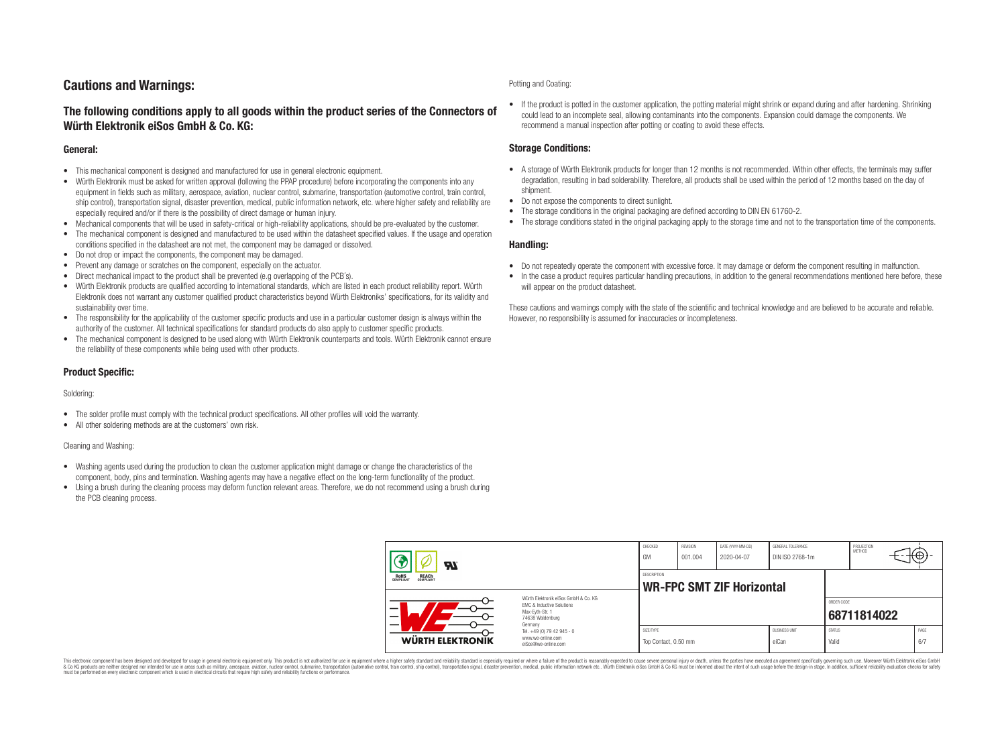# **Cautions and Warnings:**

# **The following conditions apply to all goods within the product series of the Connectors of Würth Elektronik eiSos GmbH & Co. KG:**

## **General:**

- This mechanical component is designed and manufactured for use in general electronic equipment.
- Würth Elektronik must be asked for written approval (following the PPAP procedure) before incorporating the components into any equipment in fields such as military, aerospace, aviation, nuclear control, submarine, transportation (automotive control, train control, ship control), transportation signal, disaster prevention, medical, public information network, etc. where higher safety and reliability are especially required and/or if there is the possibility of direct damage or human injury.
- Mechanical components that will be used in safety-critical or high-reliability applications, should be pre-evaluated by the customer.
- The mechanical component is designed and manufactured to be used within the datasheet specified values. If the usage and operation conditions specified in the datasheet are not met, the component may be damaged or dissolved.
- Do not drop or impact the components, the component may be damaged.
- Prevent any damage or scratches on the component, especially on the actuator.
- Direct mechanical impact to the product shall be prevented (e.g overlapping of the PCB's).
- Würth Elektronik products are qualified according to international standards, which are listed in each product reliability report. Würth Elektronik does not warrant any customer qualified product characteristics beyond Würth Elektroniks' specifications, for its validity and sustainability over time.
- The responsibility for the applicability of the customer specific products and use in a particular customer design is always within the authority of the customer. All technical specifications for standard products do also apply to customer specific products.
- The mechanical component is designed to be used along with Würth Elektronik counterparts and tools. Würth Elektronik cannot ensure the reliability of these components while being used with other products.

## **Product Specific:**

#### Soldering:

- The solder profile must comply with the technical product specifications. All other profiles will void the warranty.
- All other soldering methods are at the customers' own risk.

#### Cleaning and Washing:

- Washing agents used during the production to clean the customer application might damage or change the characteristics of the component, body, pins and termination. Washing agents may have a negative effect on the long-term functionality of the product.
- Using a brush during the cleaning process may deform function relevant areas. Therefore, we do not recommend using a brush during the PCB cleaning process.

#### Potting and Coating:

• If the product is potted in the customer application, the potting material might shrink or expand during and after hardening. Shrinking could lead to an incomplete seal, allowing contaminants into the components. Expansion could damage the components. We recommend a manual inspection after potting or coating to avoid these effects.

## **Storage Conditions:**

- A storage of Würth Elektronik products for longer than 12 months is not recommended. Within other effects, the terminals may suffer degradation, resulting in bad solderability. Therefore, all products shall be used within the period of 12 months based on the day of shipment.
- Do not expose the components to direct sunlight.
- The storage conditions in the original packaging are defined according to DIN EN 61760-2.
- The storage conditions stated in the original packaging apply to the storage time and not to the transportation time of the components.

### **Handling:**

- Do not repeatedly operate the component with excessive force. It may damage or deform the component resulting in malfunction.
- In the case a product requires particular handling precautions, in addition to the general recommendations mentioned here before, these will appear on the product datasheet.

These cautions and warnings comply with the state of the scientific and technical knowledge and are believed to be accurate and reliable. However, no responsibility is assumed for inaccuracies or incompleteness.

| Hī                                                                                                                       |                                                                        | CHECKED<br>GM                     | REVISION<br>001.004                                    | DATE (YYYY-MM-DD)<br>2020-04-07 | GENERAL TOLERANCE<br>DIN ISO 2768-1m |                        | PROJECTION<br><b>METHOD</b> |  | ₩           |  |
|--------------------------------------------------------------------------------------------------------------------------|------------------------------------------------------------------------|-----------------------------------|--------------------------------------------------------|---------------------------------|--------------------------------------|------------------------|-----------------------------|--|-------------|--|
| ROHS<br>COMPLIANT<br><b>REACH</b><br>COMPLIANT                                                                           |                                                                        |                                   | <b>DESCRIPTION</b><br><b>WR-FPC SMT ZIF Horizontal</b> |                                 |                                      |                        |                             |  |             |  |
| Würth Flektronik eiSos GmbH & Co. KG<br>FMC & Inductive Solutions<br>–<br>Max-Eyth-Str. 1<br>74638 Waldenburg<br>Germany |                                                                        |                                   |                                                        |                                 |                                      | ORDER CODE             | 68711814022                 |  |             |  |
| WÜRTH ELEKTRONIK                                                                                                         | Tel. +49 (0) 79 42 945 - 0<br>www.we-online.com<br>eiSos@we-online.com | SIZE/TYPE<br>Top Contact, 0.50 mm |                                                        |                                 | <b>BUSINESS UNIT</b><br>eiCan        | <b>STATUS</b><br>Valid |                             |  | PAGE<br>6/7 |  |

This electronic component has been designed and developed for usage in general electronic equipment only. This product is not authorized for use in equipment where a higher safety standard and reliability standard si espec & Ook product a label and the membed of the seasuch as marked and as which such a membed and the such assume that income in the seasuch and the simulation and the such assume that include to the such a membed and the such